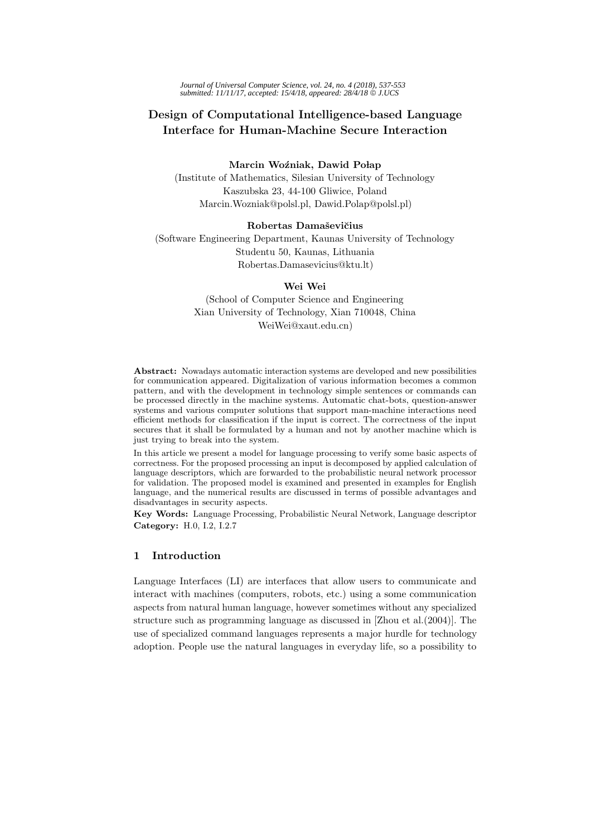*Journal of Universal Computer Science, vol. 24, no. 4 (2018), 537-553 submitted: 11/11/17, accepted: 15/4/18, appeared: 28/4/18* © *J.UCS*

# **Design of Computational Intelligence-based Language Interface for Human-Machine Secure Interaction**

#### $Marcin$  Woźniak, Dawid Połap

(Institute of Mathematics, Silesian University of Technology Kaszubska 23, 44-100 Gliwice, Poland Marcin.Wozniak@polsl.pl, Dawid.Polap@polsl.pl)

#### **Robertas Damaˇsevi˘cius**

(Software Engineering Department, Kaunas University of Technology Studentu 50, Kaunas, Lithuania Robertas.Damasevicius@ktu.lt)

#### **Wei Wei**

(School of Computer Science and Engineering Xian University of Technology, Xian 710048, China WeiWei@xaut.edu.cn)

**Abstract:** Nowadays automatic interaction systems are developed and new possibilities for communication appeared. Digitalization of various information becomes a common pattern, and with the development in technology simple sentences or commands can be processed directly in the machine systems. Automatic chat-bots, question-answer systems and various computer solutions that support man-machine interactions need efficient methods for classification if the input is correct. The correctness of the input secures that it shall be formulated by a human and not by another machine which is just trying to break into the system.

In this article we present a model for language processing to verify some basic aspects of correctness. For the proposed processing an input is decomposed by applied calculation of language descriptors, which are forwarded to the probabilistic neural network processor for validation. The proposed model is examined and presented in examples for English language, and the numerical results are discussed in terms of possible advantages and disadvantages in security aspects.

**Key Words:** Language Processing, Probabilistic Neural Network, Language descriptor **Category:** H.0, I.2, I.2.7

# **1 Introduction**

Language Interfaces (LI) are interfaces that allow users to communicate and interact with machines (computers, robots, etc.) using a some communication aspects from natural human language, however sometimes without any specialized structure such as programming language as discussed in [Zhou et al.(2004)]. The use of specialized command languages represents a major hurdle for technology adoption. People use the natural languages in everyday life, so a possibility to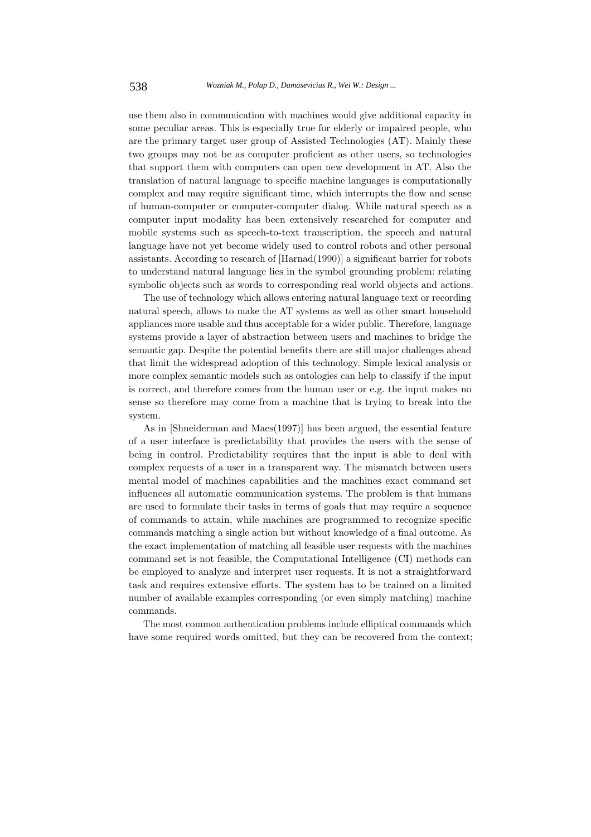use them also in communication with machines would give additional capacity in some peculiar areas. This is especially true for elderly or impaired people, who are the primary target user group of Assisted Technologies (AT). Mainly these two groups may not be as computer proficient as other users, so technologies that support them with computers can open new development in AT. Also the translation of natural language to specific machine languages is computationally complex and may require significant time, which interrupts the flow and sense of human-computer or computer-computer dialog. While natural speech as a computer input modality has been extensively researched for computer and mobile systems such as speech-to-text transcription, the speech and natural language have not yet become widely used to control robots and other personal assistants. According to research of [Harnad(1990)] a significant barrier for robots to understand natural language lies in the symbol grounding problem: relating symbolic objects such as words to corresponding real world objects and actions.

The use of technology which allows entering natural language text or recording natural speech, allows to make the AT systems as well as other smart household appliances more usable and thus acceptable for a wider public. Therefore, language systems provide a layer of abstraction between users and machines to bridge the semantic gap. Despite the potential benefits there are still major challenges ahead that limit the widespread adoption of this technology. Simple lexical analysis or more complex semantic models such as ontologies can help to classify if the input is correct, and therefore comes from the human user or e.g. the input makes no sense so therefore may come from a machine that is trying to break into the system.

As in [Shneiderman and Maes(1997)] has been argued, the essential feature of a user interface is predictability that provides the users with the sense of being in control. Predictability requires that the input is able to deal with complex requests of a user in a transparent way. The mismatch between users mental model of machines capabilities and the machines exact command set influences all automatic communication systems. The problem is that humans are used to formulate their tasks in terms of goals that may require a sequence of commands to attain, while machines are programmed to recognize specific commands matching a single action but without knowledge of a final outcome. As the exact implementation of matching all feasible user requests with the machines command set is not feasible, the Computational Intelligence (CI) methods can be employed to analyze and interpret user requests. It is not a straightforward task and requires extensive efforts. The system has to be trained on a limited number of available examples corresponding (or even simply matching) machine commands.

The most common authentication problems include elliptical commands which have some required words omitted, but they can be recovered from the context;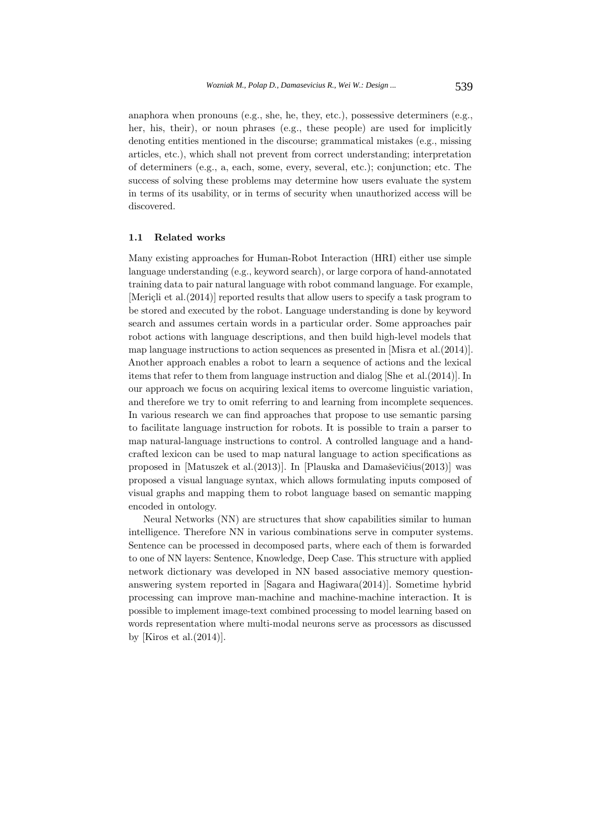anaphora when pronouns (e.g., she, he, they, etc.), possessive determiners (e.g., her, his, their), or noun phrases (e.g., these people) are used for implicitly denoting entities mentioned in the discourse; grammatical mistakes (e.g., missing articles, etc.), which shall not prevent from correct understanding; interpretation of determiners (e.g., a, each, some, every, several, etc.); conjunction; etc. The success of solving these problems may determine how users evaluate the system in terms of its usability, or in terms of security when unauthorized access will be discovered.

## **1.1 Related works**

Many existing approaches for Human-Robot Interaction (HRI) either use simple language understanding (e.g., keyword search), or large corpora of hand-annotated training data to pair natural language with robot command language. For example, [Mericli et al. $(2014)$ ] reported results that allow users to specify a task program to be stored and executed by the robot. Language understanding is done by keyword search and assumes certain words in a particular order. Some approaches pair robot actions with language descriptions, and then build high-level models that map language instructions to action sequences as presented in [Misra et al.(2014)]. Another approach enables a robot to learn a sequence of actions and the lexical items that refer to them from language instruction and dialog [She et al.(2014)]. In our approach we focus on acquiring lexical items to overcome linguistic variation, and therefore we try to omit referring to and learning from incomplete sequences. In various research we can find approaches that propose to use semantic parsing to facilitate language instruction for robots. It is possible to train a parser to map natural-language instructions to control. A controlled language and a handcrafted lexicon can be used to map natural language to action specifications as proposed in [Matuszek et al.(2013)]. In [Plauska and Damaševičius(2013)] was proposed a visual language syntax, which allows formulating inputs composed of visual graphs and mapping them to robot language based on semantic mapping encoded in ontology.

Neural Networks (NN) are structures that show capabilities similar to human intelligence. Therefore NN in various combinations serve in computer systems. Sentence can be processed in decomposed parts, where each of them is forwarded to one of NN layers: Sentence, Knowledge, Deep Case. This structure with applied network dictionary was developed in NN based associative memory questionanswering system reported in [Sagara and Hagiwara(2014)]. Sometime hybrid processing can improve man-machine and machine-machine interaction. It is possible to implement image-text combined processing to model learning based on words representation where multi-modal neurons serve as processors as discussed by [Kiros et al.(2014)].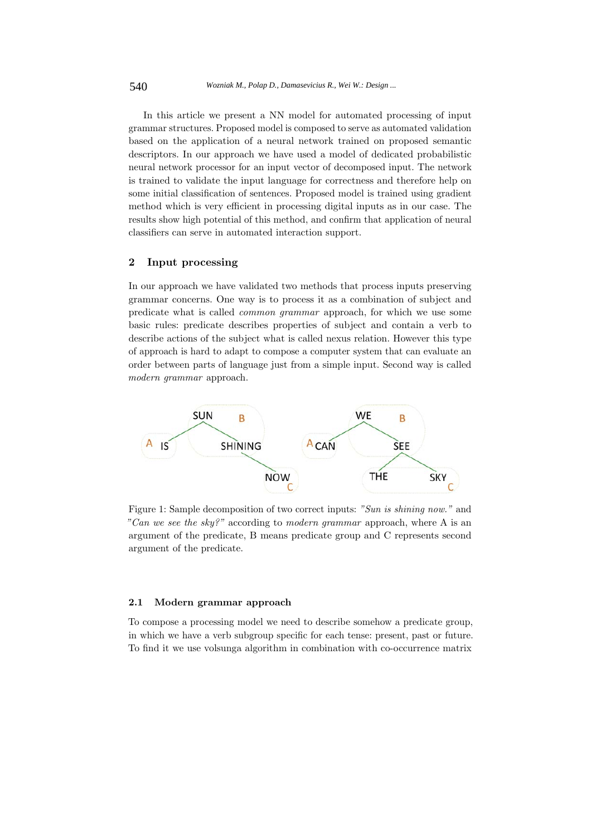In this article we present a NN model for automated processing of input grammar structures. Proposed model is composed to serve as automated validation based on the application of a neural network trained on proposed semantic descriptors. In our approach we have used a model of dedicated probabilistic neural network processor for an input vector of decomposed input. The network is trained to validate the input language for correctness and therefore help on some initial classification of sentences. Proposed model is trained using gradient method which is very efficient in processing digital inputs as in our case. The results show high potential of this method, and confirm that application of neural classifiers can serve in automated interaction support.

#### **2 Input processing**

In our approach we have validated two methods that process inputs preserving grammar concerns. One way is to process it as a combination of subject and predicate what is called common grammar approach, for which we use some basic rules: predicate describes properties of subject and contain a verb to describe actions of the subject what is called nexus relation. However this type of approach is hard to adapt to compose a computer system that can evaluate an order between parts of language just from a simple input. Second way is called modern grammar approach.



Figure 1: Sample decomposition of two correct inputs: "Sun is shining now." and "Can we see the sky?" according to modern grammar approach, where A is an argument of the predicate, B means predicate group and C represents second argument of the predicate.

#### **2.1 Modern grammar approach**

To compose a processing model we need to describe somehow a predicate group, in which we have a verb subgroup specific for each tense: present, past or future. To find it we use volsunga algorithm in combination with co-occurrence matrix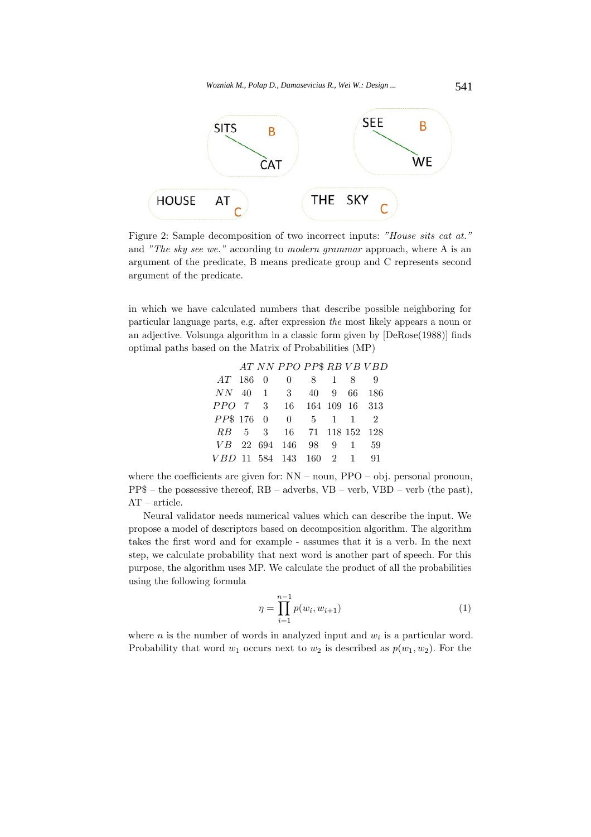

Figure 2: Sample decomposition of two incorrect inputs: "House sits cat at." and "The sky see we." according to modern grammar approach, where A is an argument of the predicate, B means predicate group and C represents second argument of the predicate.

in which we have calculated numbers that describe possible neighboring for particular language parts, e.g. after expression the most likely appears a noun or an adjective. Volsunga algorithm in a classic form given by [DeRose(1988)] finds optimal paths based on the Matrix of Probabilities (MP)

|  | AT NN PPO PP\$ RB VB VBD  |  |  |
|--|---------------------------|--|--|
|  | <i>AT</i> 186 0 0 8 1 8 9 |  |  |
|  | NN 40 1 3 40 9 66 186     |  |  |
|  | PPO 7 3 16 164 109 16 313 |  |  |
|  | PP\$ 176 0 0 5 1 1 2      |  |  |
|  | RB 5 3 16 71 118 152 128  |  |  |
|  | VB 22 694 146 98 9 1 59   |  |  |
|  | VBD 11 584 143 160 2 1 91 |  |  |

where the coefficients are given for:  $NN -$  noun,  $PPO -$  obj. personal pronoun,  $PP$$  – the possessive thereof,  $RB$  – adverbs,  $VB$  – verb,  $VBD$  – verb (the past), AT – article.

Neural validator needs numerical values which can describe the input. We propose a model of descriptors based on decomposition algorithm. The algorithm takes the first word and for example - assumes that it is a verb. In the next step, we calculate probability that next word is another part of speech. For this purpose, the algorithm uses MP. We calculate the product of all the probabilities using the following formula

$$
\eta = \prod_{i=1}^{n-1} p(w_i, w_{i+1}) \tag{1}
$$

where *n* is the number of words in analyzed input and  $w_i$  is a particular word. Probability that word  $w_1$  occurs next to  $w_2$  is described as  $p(w_1, w_2)$ . For the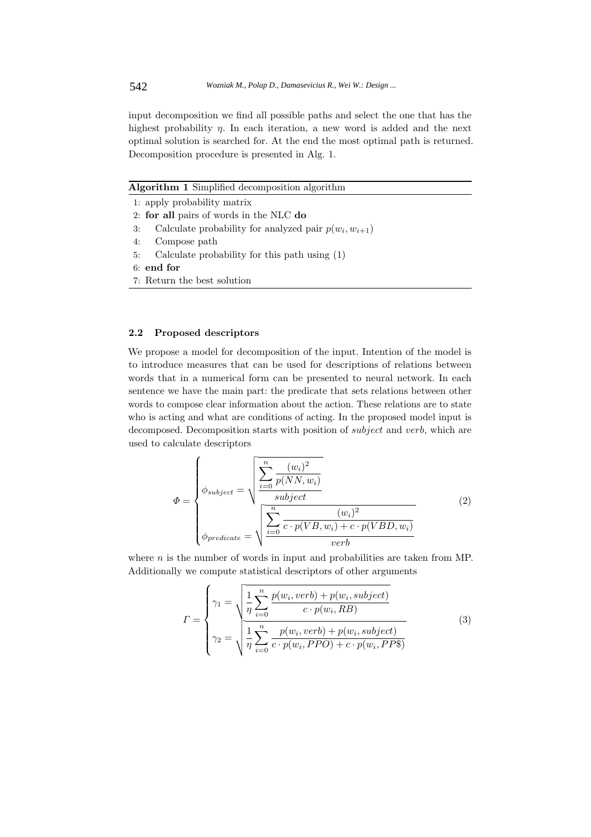input decomposition we find all possible paths and select the one that has the highest probability *n*. In each iteration, a new word is added and the next optimal solution is searched for. At the end the most optimal path is returned. Decomposition procedure is presented in Alg. 1.

**Algorithm 1** Simplified decomposition algorithm

|    | 1: apply probability matrix                               |
|----|-----------------------------------------------------------|
|    | 2: for all pairs of words in the NLC do                   |
| 3: | Calculate probability for analyzed pair $p(w_i, w_{i+1})$ |
| 4: | Compose path                                              |
| 5: | Calculate probability for this path using (1)             |
|    | $6:$ end for                                              |
|    | 7: Return the best solution                               |
|    |                                                           |

#### **2.2 Proposed descriptors**

We propose a model for decomposition of the input. Intention of the model is to introduce measures that can be used for descriptions of relations between words that in a numerical form can be presented to neural network. In each sentence we have the main part: the predicate that sets relations between other words to compose clear information about the action. These relations are to state who is acting and what are conditions of acting. In the proposed model input is decomposed. Decomposition starts with position of *subject* and *verb*, which are used to calculate descriptors

$$
\Phi = \begin{cases}\n\phi_{subject} = \sqrt{\frac{\sum_{i=0}^{n} (w_i)^2}{p(NN, w_i)}} \\
\phi_{subject} = \sqrt{\frac{\sum_{i=0}^{n} \frac{(w_i)^2}{c \cdot p(VB, w_i) + c \cdot p(VBD, w_i)}}{verb}}\n\end{cases}
$$
\n(2)

where  $n$  is the number of words in input and probabilities are taken from MP. Additionally we compute statistical descriptors of other arguments

$$
\Gamma = \begin{cases}\n\gamma_1 = \sqrt{\frac{1}{\eta} \sum_{i=0}^n \frac{p(w_i, verb) + p(w_i, subject)}{c \cdot p(w_i, RB)}} \\
\gamma_2 = \sqrt{\frac{1}{\eta} \sum_{i=0}^n \frac{p(w_i, verb) + p(w_i, subject)}{c \cdot p(w_i, PPO) + c \cdot p(w_i, PP\%)}}\n\end{cases}
$$
\n(3)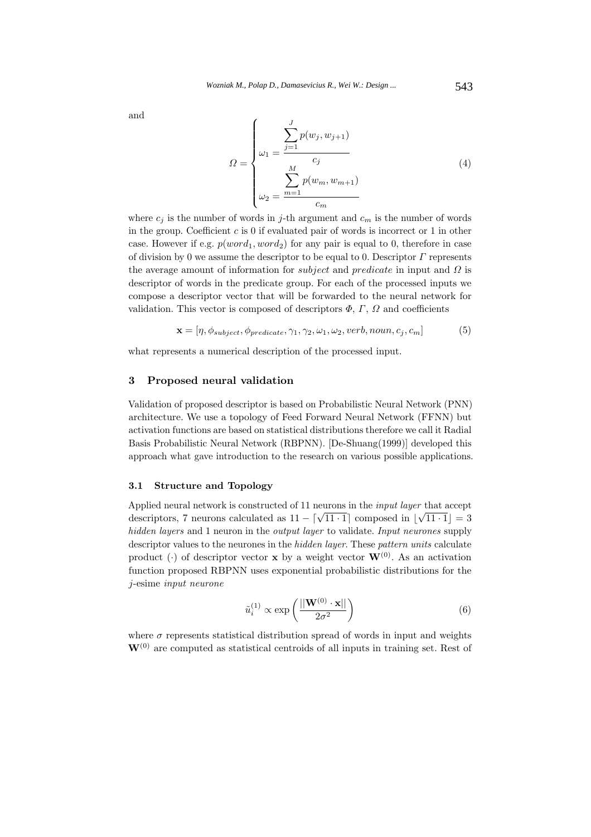and

$$
\Omega = \begin{cases}\n\omega_1 = \frac{\sum_{j=1}^{J} p(w_j, w_{j+1})}{c_j} \\
\omega_2 = \frac{\sum_{m=1}^{M} p(w_m, w_{m+1})}{c_m}\n\end{cases} (4)
$$

where  $c_j$  is the number of words in j-th argument and  $c_m$  is the number of words in the group. Coefficient  $c$  is 0 if evaluated pair of words is incorrect or 1 in other case. However if e.g.  $p(word_1, word_2)$  for any pair is equal to 0, therefore in case of division by 0 we assume the descriptor to be equal to 0. Descriptor  $\Gamma$  represents the average amount of information for *subject* and *predicate* in input and  $\Omega$  is descriptor of words in the predicate group. For each of the processed inputs we compose a descriptor vector that will be forwarded to the neural network for validation. This vector is composed of descriptors  $\Phi$ ,  $\Gamma$ ,  $\Omega$  and coefficients

$$
\mathbf{x} = [\eta, \phi_{subject}, \phi_{predicate}, \gamma_1, \gamma_2, \omega_1, \omega_2, verb, noun, c_j, c_m]
$$
(5)

what represents a numerical description of the processed input.

#### **3 Proposed neural validation**

Validation of proposed descriptor is based on Probabilistic Neural Network (PNN) architecture. We use a topology of Feed Forward Neural Network (FFNN) but activation functions are based on statistical distributions therefore we call it Radial Basis Probabilistic Neural Network (RBPNN). [De-Shuang(1999)] developed this approach what gave introduction to the research on various possible applications.

# **3.1 Structure and Topology**

Applied neural network is constructed of 11 neurons in the input layer that accept descriptors, 7 neurons calculated as  $11 - \lceil \sqrt{11 \cdot 1} \rceil$  composed in  $\lfloor \sqrt{11 \cdot 1} \rfloor = 3$ hidden layers and 1 neuron in the *output layer* to validate. Input neurones supply descriptor values to the neurones in the hidden layer. These pattern units calculate product (·) of descriptor vector **x** by a weight vector  $\mathbf{W}^{(0)}$ . As an activation function proposed RBPNN uses exponential probabilistic distributions for the j-esime input neurone

$$
\tilde{u}_i^{(1)} \propto \exp\left(\frac{||\mathbf{W}^{(0)} \cdot \mathbf{x}||}{2\sigma^2}\right) \tag{6}
$$

where  $\sigma$  represents statistical distribution spread of words in input and weights  $W^{(0)}$  are computed as statistical centroids of all inputs in training set. Rest of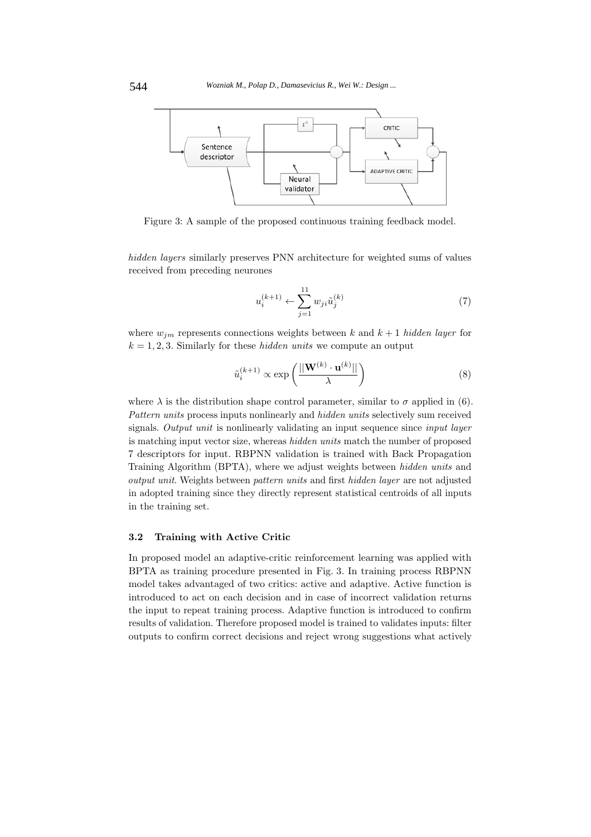

Figure 3: A sample of the proposed continuous training feedback model.

hidden layers similarly preserves PNN architecture for weighted sums of values received from preceding neurones

$$
u_i^{(k+1)} \leftarrow \sum_{j=1}^{11} w_{ji} \tilde{u}_j^{(k)}
$$
 (7)

where  $w_{jm}$  represents connections weights between k and  $k+1$  hidden layer for  $k = 1, 2, 3$ . Similarly for these *hidden units* we compute an output

$$
\tilde{u}_i^{(k+1)} \propto \exp\left(\frac{||\mathbf{W}^{(k)} \cdot \mathbf{u}^{(k)}||}{\lambda}\right) \tag{8}
$$

where  $\lambda$  is the distribution shape control parameter, similar to  $\sigma$  applied in (6). Pattern units process inputs nonlinearly and *hidden units* selectively sum received signals. Output unit is nonlinearly validating an input sequence since *input layer* is matching input vector size, whereas hidden units match the number of proposed 7 descriptors for input. RBPNN validation is trained with Back Propagation Training Algorithm (BPTA), where we adjust weights between hidden units and output unit. Weights between pattern units and first hidden layer are not adjusted in adopted training since they directly represent statistical centroids of all inputs in the training set.

# **3.2 Training with Active Critic**

In proposed model an adaptive-critic reinforcement learning was applied with BPTA as training procedure presented in Fig. 3. In training process RBPNN model takes advantaged of two critics: active and adaptive. Active function is introduced to act on each decision and in case of incorrect validation returns the input to repeat training process. Adaptive function is introduced to confirm results of validation. Therefore proposed model is trained to validates inputs: filter outputs to confirm correct decisions and reject wrong suggestions what actively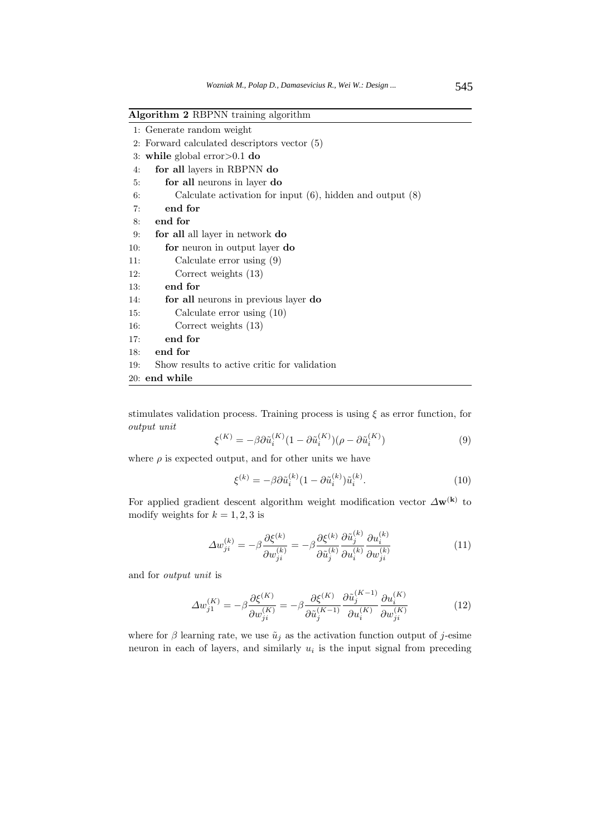| Algorithm 2 RBPNN training algorithm |  |  |  |  |
|--------------------------------------|--|--|--|--|
|--------------------------------------|--|--|--|--|

| 1: Generate random weight |  |  |  |
|---------------------------|--|--|--|
|---------------------------|--|--|--|

- 2: Forward calculated descriptors vector (5)
- 3: **while** global error>0.1 **do**
- 4: **for all** layers in RBPNN **do**
- 5: **for all** neurons in layer **do**
- 6: Calculate activation for input (6), hidden and output (8)
- 7: **end for**
- 8: **end for**

9: **for all** all layer in network **do**

- 10: **for** neuron in output layer **do**
- 11: Calculate error using (9)
- 12: Correct weights (13)
- 13: **end for**
- 14: **for all** neurons in previous layer **do**
- 15: Calculate error using (10)
- 16: Correct weights (13)
- 17: **end for**
- 18: **end for**
- 19: Show results to active critic for validation
- 20: **end while**

stimulates validation process. Training process is using  $\xi$  as error function, for output unit

$$
\xi^{(K)} = -\beta \partial \tilde{u}_i^{(K)} (1 - \partial \tilde{u}_i^{(K)}) (\rho - \partial \tilde{u}_i^{(K)}) \tag{9}
$$

where  $\rho$  is expected output, and for other units we have

$$
\xi^{(k)} = -\beta \partial \tilde{u}_i^{(k)} (1 - \partial \tilde{u}_i^{(k)}) \tilde{u}_i^{(k)}.
$$
\n(10)

For applied gradient descent algorithm weight modification vector  $\Delta \mathbf{w}^{(k)}$  to modify weights for  $k = 1, 2, 3$  is

$$
\Delta w_{ji}^{(k)} = -\beta \frac{\partial \xi^{(k)}}{\partial w_{ji}^{(k)}} = -\beta \frac{\partial \xi^{(k)}}{\partial \tilde{u}_j^{(k)}} \frac{\partial \tilde{u}_j^{(k)}}{\partial u_i^{(k)}} \frac{\partial u_i^{(k)}}{\partial w_{ji}^{(k)}} \tag{11}
$$

and for output unit is

$$
\Delta w_{j1}^{(K)} = -\beta \frac{\partial \xi^{(K)}}{\partial w_{ji}^{(K)}} = -\beta \frac{\partial \xi^{(K)}}{\partial \tilde{u}_j^{(K-1)}} \frac{\partial \tilde{u}_j^{(K-1)}}{\partial u_i^{(K)}} \frac{\partial u_i^{(K)}}{\partial w_{ji}^{(K)}} \tag{12}
$$

where for  $\beta$  learning rate, we use  $\tilde{u}_j$  as the activation function output of j-esime neuron in each of layers, and similarly  $u_i$  is the input signal from preceding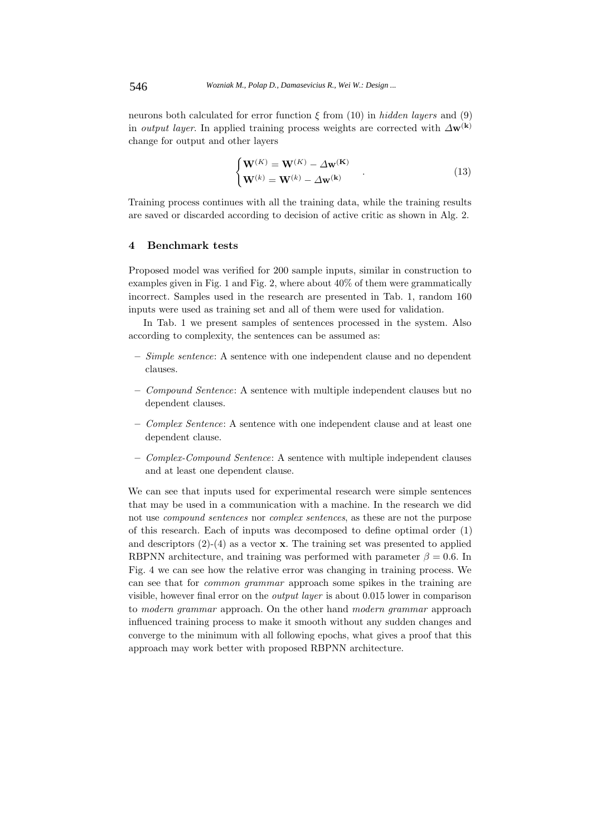neurons both calculated for error function  $\xi$  from (10) in hidden layers and (9) in *output layer*. In applied training process weights are corrected with  $\Delta \mathbf{w}^{(k)}$ change for output and other layers

$$
\begin{cases} \mathbf{W}^{(K)} = \mathbf{W}^{(K)} - \Delta \mathbf{w}^{(K)} \\ \mathbf{W}^{(k)} = \mathbf{W}^{(k)} - \Delta \mathbf{w}^{(k)} \end{cases}
$$
(13)

Training process continues with all the training data, while the training results are saved or discarded according to decision of active critic as shown in Alg. 2.

#### **4 Benchmark tests**

Proposed model was verified for 200 sample inputs, similar in construction to examples given in Fig. 1 and Fig. 2, where about 40% of them were grammatically incorrect. Samples used in the research are presented in Tab. 1, random 160 inputs were used as training set and all of them were used for validation.

In Tab. 1 we present samples of sentences processed in the system. Also according to complexity, the sentences can be assumed as:

- **–** Simple sentence: A sentence with one independent clause and no dependent clauses.
- **–** Compound Sentence: A sentence with multiple independent clauses but no dependent clauses.
- **–** Complex Sentence: A sentence with one independent clause and at least one dependent clause.
- **–** Complex-Compound Sentence: A sentence with multiple independent clauses and at least one dependent clause.

We can see that inputs used for experimental research were simple sentences that may be used in a communication with a machine. In the research we did not use compound sentences nor complex sentences, as these are not the purpose of this research. Each of inputs was decomposed to define optimal order (1) and descriptors (2)-(4) as a vector **x**. The training set was presented to applied RBPNN architecture, and training was performed with parameter  $\beta = 0.6$ . In Fig. 4 we can see how the relative error was changing in training process. We can see that for common grammar approach some spikes in the training are visible, however final error on the output layer is about 0.015 lower in comparison to modern grammar approach. On the other hand modern grammar approach influenced training process to make it smooth without any sudden changes and converge to the minimum with all following epochs, what gives a proof that this approach may work better with proposed RBPNN architecture.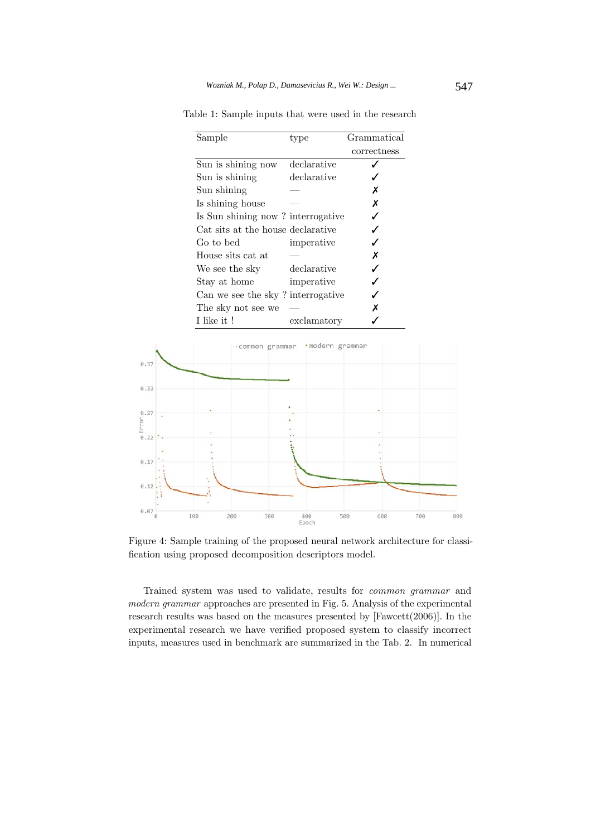| Sample                            | type        | Grammatical |
|-----------------------------------|-------------|-------------|
|                                   |             | correctness |
| Sun is shining now                | declarative |             |
| Sun is shining                    | declarative |             |
| Sun shining                       |             | х           |
| Is shining house                  |             | х           |
| Is Sun shining now? interrogative |             |             |
| Cat sits at the house declarative |             |             |
| Go to bed                         | imperative  |             |
| House sits cat at                 |             | х           |
| We see the sky                    | declarative |             |
| Stay at home                      | imperative  |             |
| Can we see the sky? interrogative |             |             |
| The sky not see we                |             | х           |
| I like it !                       | exclamatory |             |

Table 1: Sample inputs that were used in the research



Figure 4: Sample training of the proposed neural network architecture for classification using proposed decomposition descriptors model.

Trained system was used to validate, results for common grammar and modern grammar approaches are presented in Fig. 5. Analysis of the experimental research results was based on the measures presented by [Fawcett(2006)]. In the experimental research we have verified proposed system to classify incorrect inputs, measures used in benchmark are summarized in the Tab. 2. In numerical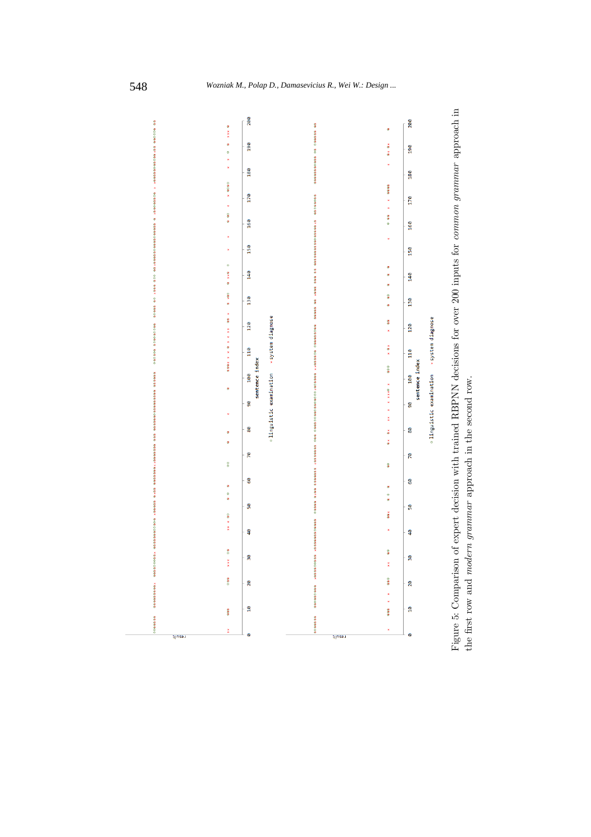

Figure 5: Comparison of expert decision with trained RBPNN decisions for over 200 inputs for common grammar approach in Figure 5: Comparison of expert decision with trained RBPNN decisions for over 200 inputs for common grammar approach in the first row and *modern grammar* approach in the second row. the first row and modern grammar approach in the second row.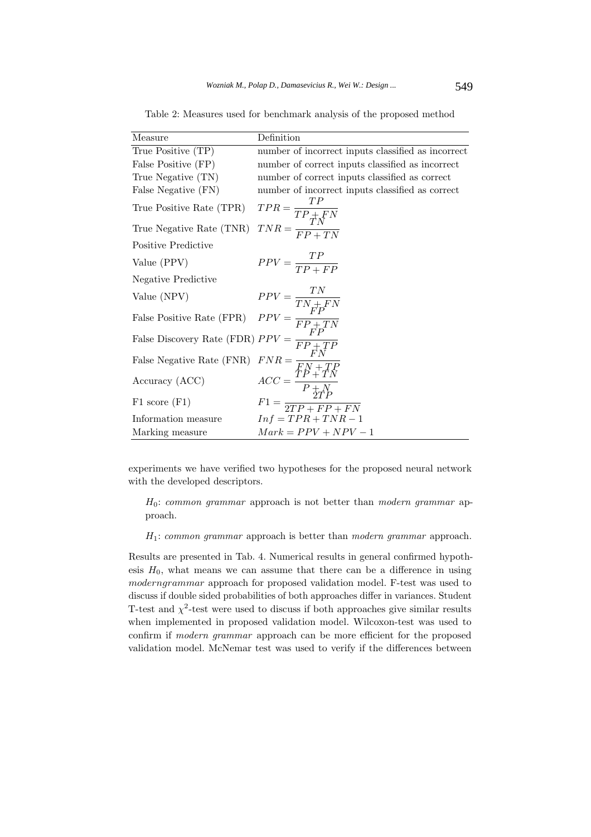| Measure                                                                                                                                                                                                                           | Definition                                                                                                                               |
|-----------------------------------------------------------------------------------------------------------------------------------------------------------------------------------------------------------------------------------|------------------------------------------------------------------------------------------------------------------------------------------|
| True Positive (TP)                                                                                                                                                                                                                | number of incorrect inputs classified as incorrect                                                                                       |
| False Positive (FP)                                                                                                                                                                                                               | number of correct inputs classified as incorrect                                                                                         |
| True Negative (TN)                                                                                                                                                                                                                | number of correct inputs classified as correct                                                                                           |
| False Negative (FN)                                                                                                                                                                                                               | number of incorrect inputs classified as correct                                                                                         |
| True Positive Rate (TPR)                                                                                                                                                                                                          | $\begin{aligned} TPR &= \frac{TP}{TP + FN} \\ TNR &= \frac{TN}{FP + TN} \end{aligned}$                                                   |
| True Negative Rate (TNR)                                                                                                                                                                                                          |                                                                                                                                          |
| Positive Predictive                                                                                                                                                                                                               |                                                                                                                                          |
| Value (PPV)                                                                                                                                                                                                                       | $PPV = \frac{TP}{TP + FP}$                                                                                                               |
| Negative Predictive                                                                                                                                                                                                               |                                                                                                                                          |
|                                                                                                                                                                                                                                   |                                                                                                                                          |
| Value (NPV)<br>$PPV = \frac{TN}{TN + FN}$<br>False Positive Rate (FPR) $PPV = \frac{FP + TN}{FP + TN}$<br>False Discovery Rate (FDR) $PPV = \frac{FP + TN}{FP + TN}$<br>False Negative Rate (FNR) $FNR = \frac{FN + TP}{FN + TP}$ |                                                                                                                                          |
|                                                                                                                                                                                                                                   |                                                                                                                                          |
|                                                                                                                                                                                                                                   |                                                                                                                                          |
| Accuracy (ACC)                                                                                                                                                                                                                    | $\begin{split} ACC &= \frac{\overset{\leftarrow}{TP} + \overset{\rightarrow}{TN}}{P + N} \\ F1 &= \frac{2TP}{2TP + FP + FN} \end{split}$ |
| $F1$ score $(F1)$                                                                                                                                                                                                                 |                                                                                                                                          |
| Information measure                                                                                                                                                                                                               | $Inf = TPR + TNR - 1$                                                                                                                    |
| Marking measure                                                                                                                                                                                                                   | $Mark = PPV + NPV - 1$                                                                                                                   |

Table 2: Measures used for benchmark analysis of the proposed method

experiments we have verified two hypotheses for the proposed neural network with the developed descriptors.

 $H_0$ : common grammar approach is not better than modern grammar approach.

 $H_1$ : common grammar approach is better than modern grammar approach.

Results are presented in Tab. 4. Numerical results in general confirmed hypothesis  $H_0$ , what means we can assume that there can be a difference in using moderngrammar approach for proposed validation model. F-test was used to discuss if double sided probabilities of both approaches differ in variances. Student T-test and  $\chi^2$ -test were used to discuss if both approaches give similar results when implemented in proposed validation model. Wilcoxon-test was used to confirm if modern grammar approach can be more efficient for the proposed validation model. McNemar test was used to verify if the differences between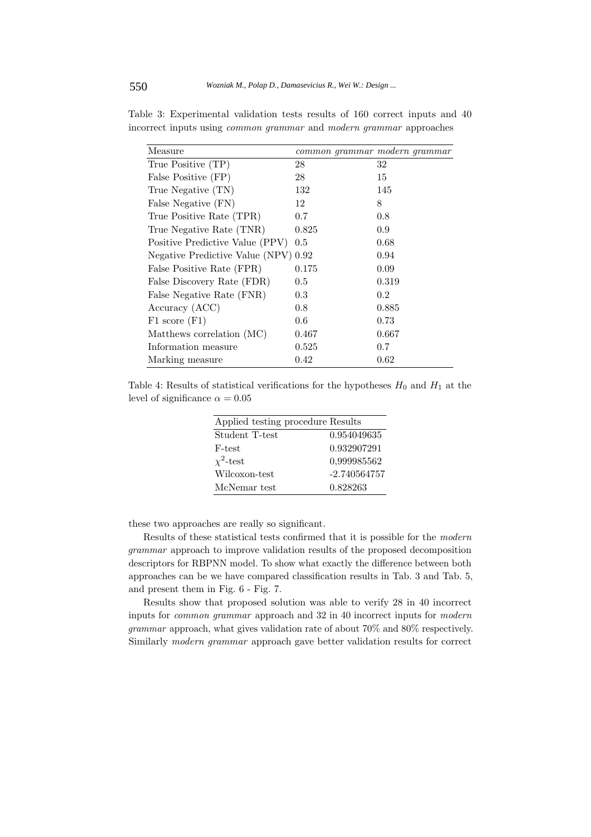| Measure                              | common grammar modern grammar |       |
|--------------------------------------|-------------------------------|-------|
| True Positive (TP)                   | 28                            | 32    |
| False Positive (FP)                  | 28                            | 15    |
| True Negative (TN)                   | 132                           | 145   |
| False Negative (FN)                  | 12                            | 8     |
| True Positive Rate (TPR)             | 0.7                           | 0.8   |
| True Negative Rate (TNR)             | 0.825                         | 0.9   |
| Positive Predictive Value (PPV)      | 0.5                           | 0.68  |
| Negative Predictive Value (NPV) 0.92 |                               | 0.94  |
| False Positive Rate (FPR)            | 0.175                         | 0.09  |
| False Discovery Rate (FDR)           | 0.5                           | 0.319 |
| False Negative Rate (FNR)            | 0.3                           | 0.2   |
| Accuracy (ACC)                       | 0.8                           | 0.885 |
| $F1$ score $(F1)$                    | 0.6                           | 0.73  |
| Matthews correlation (MC)            | 0.467                         | 0.667 |
| Information measure                  | 0.525                         | 0.7   |
| Marking measure                      | 0.42                          | 0.62  |

Table 3: Experimental validation tests results of 160 correct inputs and 40 incorrect inputs using common grammar and modern grammar approaches

Table 4: Results of statistical verifications for the hypotheses  $H_0$  and  $H_1$  at the level of significance  $\alpha = 0.05$ 

| Applied testing procedure Results |                |
|-----------------------------------|----------------|
| Student T-test                    | 0.954049635    |
| F-test                            | 0.932907291    |
| $\chi^2$ -test                    | 0,999985562    |
| Wilcoxon-test                     | $-2.740564757$ |
| McNemar test                      | 0.828263       |

these two approaches are really so significant.

Results of these statistical tests confirmed that it is possible for the modern grammar approach to improve validation results of the proposed decomposition descriptors for RBPNN model. To show what exactly the difference between both approaches can be we have compared classification results in Tab. 3 and Tab. 5, and present them in Fig. 6 - Fig. 7.

Results show that proposed solution was able to verify 28 in 40 incorrect inputs for common grammar approach and 32 in 40 incorrect inputs for modern grammar approach, what gives validation rate of about 70% and 80% respectively. Similarly modern grammar approach gave better validation results for correct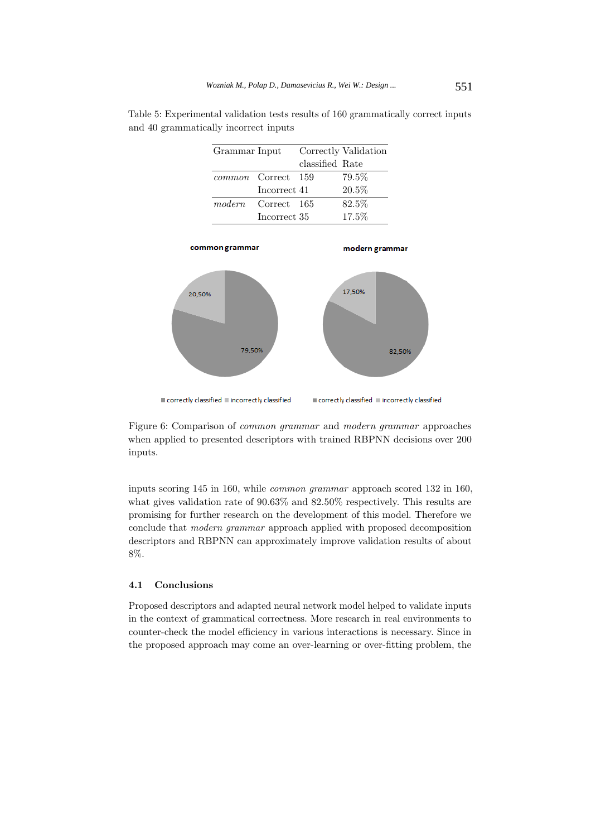| Grammar Input |                           |                 | Correctly Validation |
|---------------|---------------------------|-----------------|----------------------|
|               |                           | classified Rate |                      |
|               | <i>common</i> Correct 159 |                 | 79.5%                |
|               | Incorrect 41              |                 | 20.5%                |
| modern        | Correct 165               |                 | 82.5%                |
|               | Incorrect 35              |                 | 17.5%                |

Table 5: Experimental validation tests results of 160 grammatically correct inputs and 40 grammatically incorrect inputs



Figure 6: Comparison of common grammar and modern grammar approaches when applied to presented descriptors with trained RBPNN decisions over 200 inputs.

inputs scoring 145 in 160, while common grammar approach scored 132 in 160, what gives validation rate of 90.63% and 82.50% respectively. This results are promising for further research on the development of this model. Therefore we conclude that modern grammar approach applied with proposed decomposition descriptors and RBPNN can approximately improve validation results of about 8%.

#### **4.1 Conclusions**

Proposed descriptors and adapted neural network model helped to validate inputs in the context of grammatical correctness. More research in real environments to counter-check the model efficiency in various interactions is necessary. Since in the proposed approach may come an over-learning or over-fitting problem, the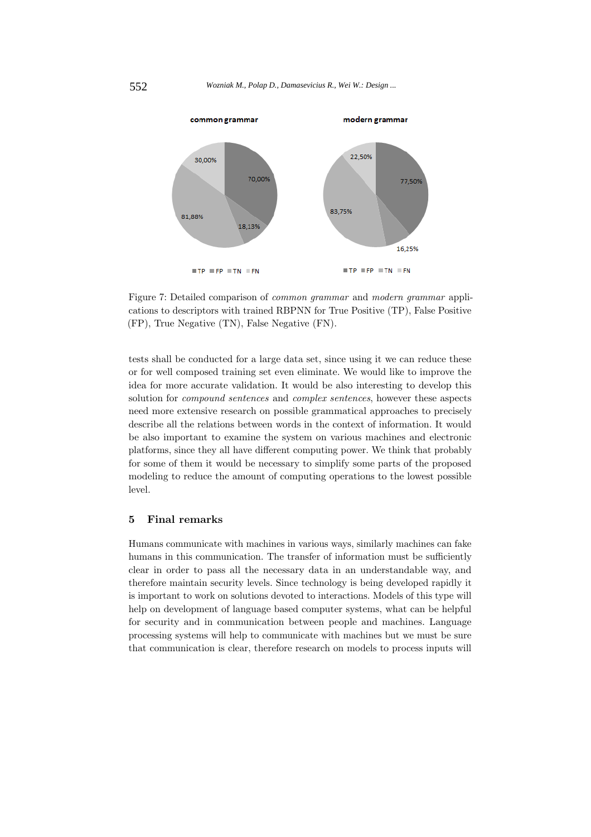

Figure 7: Detailed comparison of common grammar and modern grammar applications to descriptors with trained RBPNN for True Positive (TP), False Positive (FP), True Negative (TN), False Negative (FN).

tests shall be conducted for a large data set, since using it we can reduce these or for well composed training set even eliminate. We would like to improve the idea for more accurate validation. It would be also interesting to develop this solution for *compound sentences* and *complex sentences*, however these aspects need more extensive research on possible grammatical approaches to precisely describe all the relations between words in the context of information. It would be also important to examine the system on various machines and electronic platforms, since they all have different computing power. We think that probably for some of them it would be necessary to simplify some parts of the proposed modeling to reduce the amount of computing operations to the lowest possible level.

## **5 Final remarks**

Humans communicate with machines in various ways, similarly machines can fake humans in this communication. The transfer of information must be sufficiently clear in order to pass all the necessary data in an understandable way, and therefore maintain security levels. Since technology is being developed rapidly it is important to work on solutions devoted to interactions. Models of this type will help on development of language based computer systems, what can be helpful for security and in communication between people and machines. Language processing systems will help to communicate with machines but we must be sure that communication is clear, therefore research on models to process inputs will